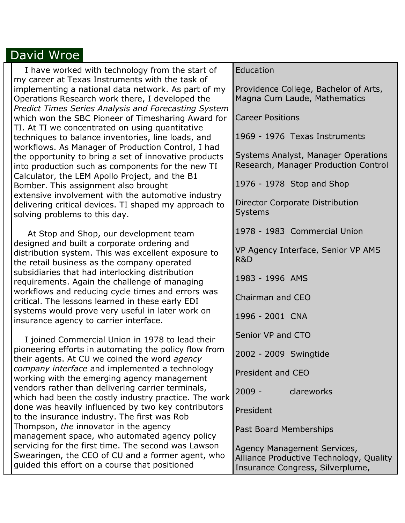## David Wroe

| I have worked with technology from the start of<br>my career at Texas Instruments with the task of                                                                                                                                                                                                                                                                                                                                                                                                                  | Education                                                                                                  |  |
|---------------------------------------------------------------------------------------------------------------------------------------------------------------------------------------------------------------------------------------------------------------------------------------------------------------------------------------------------------------------------------------------------------------------------------------------------------------------------------------------------------------------|------------------------------------------------------------------------------------------------------------|--|
| implementing a national data network. As part of my<br>Operations Research work there, I developed the<br>Predict Times Series Analysis and Forecasting System                                                                                                                                                                                                                                                                                                                                                      | Providence College, Bachelor of Arts,<br>Magna Cum Laude, Mathematics                                      |  |
| which won the SBC Pioneer of Timesharing Award for                                                                                                                                                                                                                                                                                                                                                                                                                                                                  | <b>Career Positions</b>                                                                                    |  |
| TI. At TI we concentrated on using quantitative<br>techniques to balance inventories, line loads, and<br>workflows. As Manager of Production Control, I had<br>the opportunity to bring a set of innovative products<br>into production such as components for the new TI<br>Calculator, the LEM Apollo Project, and the B1<br>Bomber. This assignment also brought<br>extensive involvement with the automotive industry<br>delivering critical devices. TI shaped my approach to<br>solving problems to this day. | 1969 - 1976 Texas Instruments                                                                              |  |
|                                                                                                                                                                                                                                                                                                                                                                                                                                                                                                                     | Systems Analyst, Manager Operations<br>Research, Manager Production Control                                |  |
|                                                                                                                                                                                                                                                                                                                                                                                                                                                                                                                     | 1976 - 1978 Stop and Shop                                                                                  |  |
|                                                                                                                                                                                                                                                                                                                                                                                                                                                                                                                     | Director Corporate Distribution<br><b>Systems</b>                                                          |  |
| At Stop and Shop, our development team<br>designed and built a corporate ordering and<br>distribution system. This was excellent exposure to<br>the retail business as the company operated                                                                                                                                                                                                                                                                                                                         | 1978 - 1983 Commercial Union                                                                               |  |
|                                                                                                                                                                                                                                                                                                                                                                                                                                                                                                                     | VP Agency Interface, Senior VP AMS<br>R&D                                                                  |  |
| subsidiaries that had interlocking distribution<br>requirements. Again the challenge of managing                                                                                                                                                                                                                                                                                                                                                                                                                    | 1983 - 1996 AMS                                                                                            |  |
| workflows and reducing cycle times and errors was<br>critical. The lessons learned in these early EDI<br>systems would prove very useful in later work on<br>insurance agency to carrier interface.                                                                                                                                                                                                                                                                                                                 | Chairman and CEO                                                                                           |  |
|                                                                                                                                                                                                                                                                                                                                                                                                                                                                                                                     | 1996 - 2001 CNA                                                                                            |  |
| I joined Commercial Union in 1978 to lead their                                                                                                                                                                                                                                                                                                                                                                                                                                                                     | Senior VP and CTO                                                                                          |  |
| pioneering efforts in automating the policy flow from<br>their agents. At CU we coined the word agency                                                                                                                                                                                                                                                                                                                                                                                                              | 2002 - 2009 Swingtide                                                                                      |  |
| company interface and implemented a technology<br>working with the emerging agency management                                                                                                                                                                                                                                                                                                                                                                                                                       | President and CEO                                                                                          |  |
| vendors rather than delivering carrier terminals,<br>which had been the costly industry practice. The work                                                                                                                                                                                                                                                                                                                                                                                                          | $2009 -$<br>clareworks                                                                                     |  |
| done was heavily influenced by two key contributors<br>to the insurance industry. The first was Rob<br>Thompson, the innovator in the agency<br>management space, who automated agency policy<br>servicing for the first time. The second was Lawson<br>Swearingen, the CEO of CU and a former agent, who<br>guided this effort on a course that positioned                                                                                                                                                         | President                                                                                                  |  |
|                                                                                                                                                                                                                                                                                                                                                                                                                                                                                                                     | Past Board Memberships                                                                                     |  |
|                                                                                                                                                                                                                                                                                                                                                                                                                                                                                                                     | Agency Management Services,<br>Alliance Productive Technology, Quality<br>Insurance Congress, Silverplume, |  |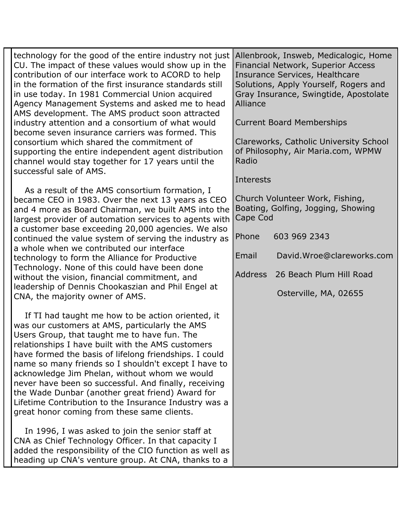| technology for the good of the entire industry not just<br>CU. The impact of these values would show up in the<br>contribution of our interface work to ACORD to help<br>in the formation of the first insurance standards still<br>in use today. In 1981 Commercial Union acquired<br>Agency Management Systems and asked me to head<br>AMS development. The AMS product soon attracted<br>industry attention and a consortium of what would<br>become seven insurance carriers was formed. This                                                                                                                             |                                                                                       | Allenbrook, Insweb, Medicalogic, Home<br><b>Financial Network, Superior Access</b><br><b>Insurance Services, Healthcare</b><br>Solutions, Apply Yourself, Rogers and<br>Gray Insurance, Swingtide, Apostolate<br>Alliance<br><b>Current Board Memberships</b> |  |
|-------------------------------------------------------------------------------------------------------------------------------------------------------------------------------------------------------------------------------------------------------------------------------------------------------------------------------------------------------------------------------------------------------------------------------------------------------------------------------------------------------------------------------------------------------------------------------------------------------------------------------|---------------------------------------------------------------------------------------|---------------------------------------------------------------------------------------------------------------------------------------------------------------------------------------------------------------------------------------------------------------|--|
| consortium which shared the commitment of<br>supporting the entire independent agent distribution<br>channel would stay together for 17 years until the<br>successful sale of AMS.                                                                                                                                                                                                                                                                                                                                                                                                                                            | Clareworks, Catholic University School<br>of Philosophy, Air Maria.com, WPMW<br>Radio |                                                                                                                                                                                                                                                               |  |
| As a result of the AMS consortium formation, I<br>became CEO in 1983. Over the next 13 years as CEO<br>and 4 more as Board Chairman, we built AMS into the<br>largest provider of automation services to agents with<br>a customer base exceeding 20,000 agencies. We also<br>continued the value system of serving the industry as<br>a whole when we contributed our interface<br>technology to form the Alliance for Productive<br>Technology. None of this could have been done<br>without the vision, financial commitment, and<br>leadership of Dennis Chookaszian and Phil Engel at<br>CNA, the majority owner of AMS. | Interests<br>Church Volunteer Work, Fishing,                                          |                                                                                                                                                                                                                                                               |  |
|                                                                                                                                                                                                                                                                                                                                                                                                                                                                                                                                                                                                                               | Boating, Golfing, Jogging, Showing<br>Cape Cod                                        |                                                                                                                                                                                                                                                               |  |
|                                                                                                                                                                                                                                                                                                                                                                                                                                                                                                                                                                                                                               | Phone                                                                                 | 603 969 2343                                                                                                                                                                                                                                                  |  |
|                                                                                                                                                                                                                                                                                                                                                                                                                                                                                                                                                                                                                               | Email                                                                                 | David.Wroe@clareworks.com                                                                                                                                                                                                                                     |  |
|                                                                                                                                                                                                                                                                                                                                                                                                                                                                                                                                                                                                                               | Address                                                                               | 26 Beach Plum Hill Road                                                                                                                                                                                                                                       |  |
|                                                                                                                                                                                                                                                                                                                                                                                                                                                                                                                                                                                                                               |                                                                                       | Osterville, MA, 02655                                                                                                                                                                                                                                         |  |
| If TI had taught me how to be action oriented, it<br>was our customers at AMS, particularly the AMS<br>Users Group, that taught me to have fun. The<br>relationships I have built with the AMS customers<br>have formed the basis of lifelong friendships. I could<br>name so many friends so I shouldn't except I have to<br>acknowledge Jim Phelan, without whom we would<br>never have been so successful. And finally, receiving<br>the Wade Dunbar (another great friend) Award for<br>Lifetime Contribution to the Insurance Industry was a<br>great honor coming from these same clients.                              |                                                                                       |                                                                                                                                                                                                                                                               |  |
| In 1996, I was asked to join the senior staff at<br>CNA as Chief Technology Officer. In that capacity I<br>added the responsibility of the CIO function as well as<br>heading up CNA's venture group. At CNA, thanks to a                                                                                                                                                                                                                                                                                                                                                                                                     |                                                                                       |                                                                                                                                                                                                                                                               |  |